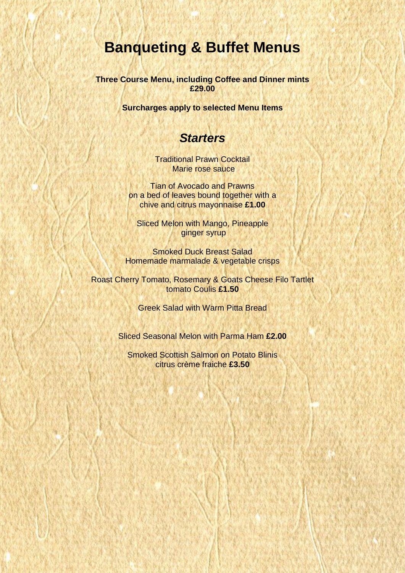# **Banqueting & Buffet Menus**

**Three Course Menu, including Coffee and Dinner mints £29.00**

**Surcharges apply to selected Menu Items**

#### *Starters*

Traditional Prawn Cocktail Marie rose sauce

Tian of Avocado and Prawns on a bed of leaves bound together with a chive and citrus mayonnaise **£1.00**

Sliced Melon with Mango, Pineapple ginger syrup

Smoked Duck Breast Salad Homemade marmalade & vegetable crisps

Roast Cherry Tomato, Rosemary & Goats Cheese Filo Tartlet tomato Coulis **£1.50**

Greek Salad with Warm Pitta Bread

Sliced Seasonal Melon with Parma Ham **£2.00**

Smoked Scottish Salmon on Potato Blinis citrus crème fraiche **£3.50**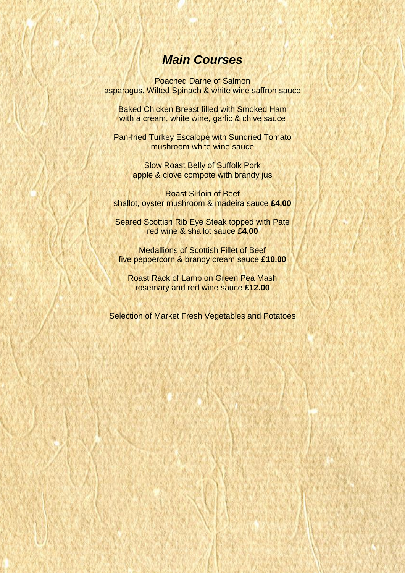## *Main Courses*

Poached Darne of Salmon asparagus, Wilted Spinach & white wine saffron sauce

Baked Chicken Breast filled with Smoked Ham with a cream, white wine, garlic & chive sauce

Pan-fried Turkey Escalope with Sundried Tomato mushroom white wine sauce

> Slow Roast Belly of Suffolk Pork apple & clove compote with brandy jus

Roast Sirloin of Beef shallot, oyster mushroom & madeira sauce **£4.00**

Seared Scottish Rib Eye Steak topped with Pate red wine & shallot sauce **£4.00**

Medallions of Scottish Fillet of Beef five peppercorn & brandy cream sauce **£10.00**

Roast Rack of Lamb on Green Pea Mash rosemary and red wine sauce **£12.00**

Selection of Market Fresh Vegetables and Potatoes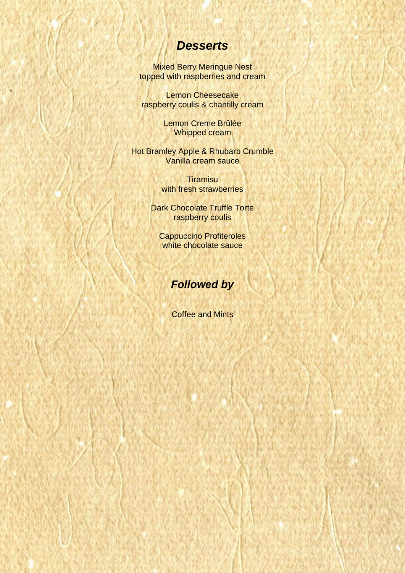#### *Desserts*

Mixed Berry Meringue Nest topped with raspberries and cream

Lemon Cheesecake raspberry coulis & chantilly cream

> Lemon Creme Brûlée Whipped cream

Hot Bramley Apple & Rhubarb Crumble Vanilla cream sauce

> **Tiramisu** with fresh strawberries

Dark Chocolate Truffle Torte raspberry coulis

Cappuccino Profiteroles white chocolate sauce

## *Followed by*

Coffee and Mints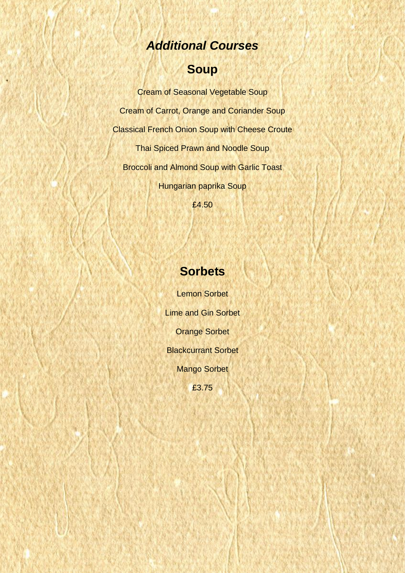# *Additional Courses*

# **Soup**

Cream of Seasonal Vegetable Soup Cream of Carrot, Orange and Coriander Soup Classical French Onion Soup with Cheese Croute Thai Spiced Prawn and Noodle Soup Broccoli and Almond Soup with Garlic Toast Hungarian paprika Soup

£4.50

## **Sorbets**

Lemon Sorbet Lime and Gin Sorbet Orange Sorbet Blackcurrant Sorbet Mango Sorbet £3.75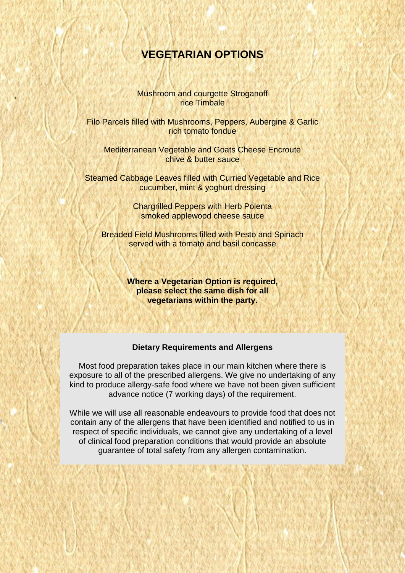#### **VEGETARIAN OPTIONS**

Mushroom and courgette Stroganoff rice Timbale

Filo Parcels filled with Mushrooms, Peppers, Aubergine & Garlic rich tomato fondue

Mediterranean Vegetable and Goats Cheese Encroute chive & butter sauce

Steamed Cabbage Leaves filled with Curried Vegetable and Rice cucumber, mint & yoghurt dressing

> Chargrilled Peppers with Herb Polenta smoked applewood cheese sauce

Breaded Field Mushrooms filled with Pesto and Spinach served with a tomato and basil concasse

> **Where a Vegetarian Option is required, please select the same dish for all vegetarians within the party.**

#### **Dietary Requirements and Allergens**

Most food preparation takes place in our main kitchen where there is exposure to all of the prescribed allergens. We give no undertaking of any kind to produce allergy-safe food where we have not been given sufficient advance notice (7 working days) of the requirement.

While we will use all reasonable endeavours to provide food that does not contain any of the allergens that have been identified and notified to us in respect of specific individuals, we cannot give any undertaking of a level of clinical food preparation conditions that would provide an absolute guarantee of total safety from any allergen contamination.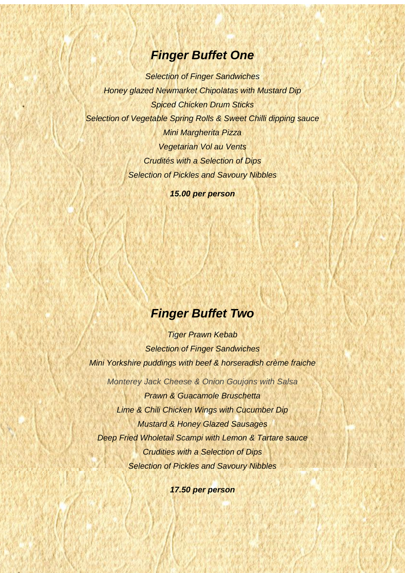#### *Finger Buffet One*

*Selection of Finger Sandwiches Honey glazed Newmarket Chipolatas with Mustard Dip Spiced Chicken Drum Sticks Selection of Vegetable Spring Rolls & Sweet Chilli dipping sauce Mini Margherita Pizza Vegetarian Vol au Vents Crudités with a Selection of Dips Selection of Pickles and Savoury Nibbles*

*15.00 per person*

## *Finger Buffet Two*

*Tiger Prawn Kebab Selection of Finger Sandwiches Mini Yorkshire puddings with beef & horseradish crème fraiche Monterey Jack Cheese & Onion Goujons with Salsa Prawn & Guacamole Bruschetta Lime & Chili Chicken Wings with Cucumber Dip Mustard & Honey Glazed Sausages Deep Fried Wholetail Scampi with Lemon & Tartare sauce Crudities with a Selection of Dips Selection of Pickles and Savoury Nibbles*

*17.50 per person*